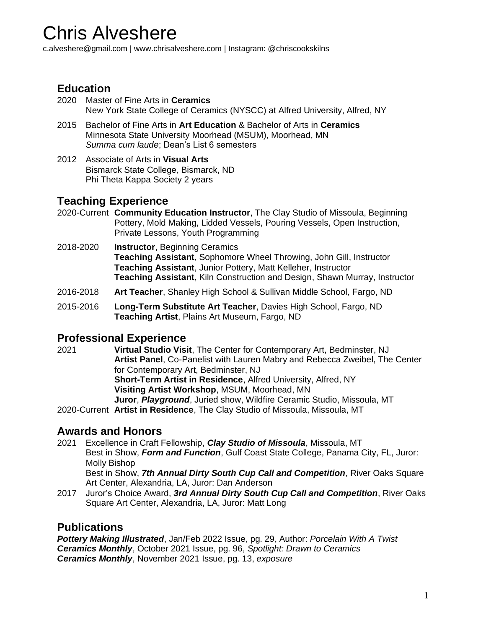# Chris Alveshere

c.alveshere@gmail.com | www.chrisalveshere.com | Instagram: @chriscookskilns

## **Education**

- 2020 Master of Fine Arts in **Ceramics** New York State College of Ceramics (NYSCC) at Alfred University, Alfred, NY
- 2015 Bachelor of Fine Arts in **Art Education** & Bachelor of Arts in **Ceramics** Minnesota State University Moorhead (MSUM), Moorhead, MN *Summa cum laude*; Dean's List 6 semesters
- 2012 Associate of Arts in **Visual Arts** Bismarck State College, Bismarck, ND Phi Theta Kappa Society 2 years

### **Teaching Experience**

- 2020-Current **Community Education Instructor**, The Clay Studio of Missoula, Beginning Pottery, Mold Making, Lidded Vessels, Pouring Vessels, Open Instruction, Private Lessons, Youth Programming
- 2018-2020 **Instructor**, Beginning Ceramics **Teaching Assistant**, Sophomore Wheel Throwing, John Gill, Instructor **Teaching Assistant**, Junior Pottery, Matt Kelleher, Instructor **Teaching Assistant**, Kiln Construction and Design, Shawn Murray, Instructor
- 2016-2018 **Art Teacher**, Shanley High School & Sullivan Middle School, Fargo, ND
- 2015-2016 **Long-Term Substitute Art Teacher**, Davies High School, Fargo, ND **Teaching Artist**, Plains Art Museum, Fargo, ND

#### **Professional Experience**

2021 **Virtual Studio Visit**, The Center for Contemporary Art, Bedminster, NJ **Artist Panel**, Co-Panelist with Lauren Mabry and Rebecca Zweibel, The Center for Contemporary Art, Bedminster, NJ **Short-Term Artist in Residence**, Alfred University, Alfred, NY **Visiting Artist Workshop**, MSUM, Moorhead, MN **Juror**, *Playground*, Juried show, Wildfire Ceramic Studio, Missoula, MT

2020-Current **Artist in Residence**, The Clay Studio of Missoula, Missoula, MT

### **Awards and Honors**

- 2021 Excellence in Craft Fellowship, *Clay Studio of Missoula*, Missoula, MT Best in Show, *Form and Function*, Gulf Coast State College, Panama City, FL, Juror: Molly Bishop Best in Show, *7th Annual Dirty South Cup Call and Competition*, River Oaks Square Art Center, Alexandria, LA, Juror: Dan Anderson
- 2017 Juror's Choice Award, *3rd Annual Dirty South Cup Call and Competition*, River Oaks Square Art Center, Alexandria, LA, Juror: Matt Long

### **Publications**

*Pottery Making Illustrated*, Jan/Feb 2022 Issue, pg. 29, Author: *Porcelain With A Twist Ceramics Monthly*, October 2021 Issue, pg. 96, *Spotlight: Drawn to Ceramics Ceramics Monthly*, November 2021 Issue, pg. 13, *exposure*